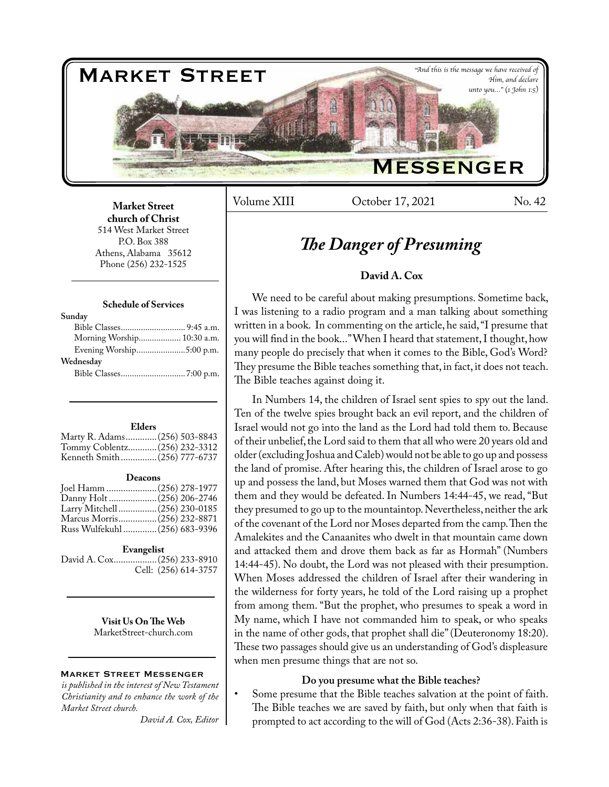

Volume XIII Cotober 17, 2021 No. 42

**Market Street church of Christ**  514 West Market Street P.O. Box 388 Athens, Alabama 35612 Phone (256) 232-1525

#### **Schedule of Services**

| Sunday                     |  |
|----------------------------|--|
|                            |  |
| Morning Worship 10:30 a.m. |  |
| Evening Worship5:00 p.m.   |  |
| Wednesday                  |  |
|                            |  |
|                            |  |

#### **Elders**

| Marty R. Adams (256) 503-8843 |  |
|-------------------------------|--|
| Tommy Coblentz (256) 232-3312 |  |
| Kenneth Smith(256) 777-6737   |  |

#### **Deacons**

| Joel Hamm  (256) 278-1977      |  |
|--------------------------------|--|
|                                |  |
| Larry Mitchell (256) 230-0185  |  |
| Marcus Morris(256) 232-8871    |  |
| Russ Wulfekuhl  (256) 683-9396 |  |

#### **Evangelist**

David A. Cox..................(256) 233-8910 Cell: (256) 614-3757

> **Visit Us On The Web** MarketStreet-church.com

#### Market Street Messenger

*is published in the interest of New Testament Christianity and to enhance the work of the Market Street church.*

*David A. Cox, Editor*

# *The Danger of Presuming*

# **David A. Cox**

We need to be careful about making presumptions. Sometime back, I was listening to a radio program and a man talking about something written in a book. In commenting on the article, he said, "I presume that you will find in the book..." When I heard that statement, I thought, how many people do precisely that when it comes to the Bible, God's Word? They presume the Bible teaches something that, in fact, it does not teach. The Bible teaches against doing it.

In Numbers 14, the children of Israel sent spies to spy out the land. Ten of the twelve spies brought back an evil report, and the children of Israel would not go into the land as the Lord had told them to. Because of their unbelief, the Lord said to them that all who were 20 years old and older (excluding Joshua and Caleb) would not be able to go up and possess the land of promise. After hearing this, the children of Israel arose to go up and possess the land, but Moses warned them that God was not with them and they would be defeated. In Numbers 14:44-45, we read, "But they presumed to go up to the mountaintop. Nevertheless, neither the ark of the covenant of the Lord nor Moses departed from the camp. Then the Amalekites and the Canaanites who dwelt in that mountain came down and attacked them and drove them back as far as Hormah" (Numbers 14:44-45). No doubt, the Lord was not pleased with their presumption. When Moses addressed the children of Israel after their wandering in the wilderness for forty years, he told of the Lord raising up a prophet from among them. "But the prophet, who presumes to speak a word in My name, which I have not commanded him to speak, or who speaks in the name of other gods, that prophet shall die" (Deuteronomy 18:20). These two passages should give us an understanding of God's displeasure when men presume things that are not so.

#### **Do you presume what the Bible teaches?**

Some presume that the Bible teaches salvation at the point of faith. The Bible teaches we are saved by faith, but only when that faith is prompted to act according to the will of God (Acts 2:36-38). Faith is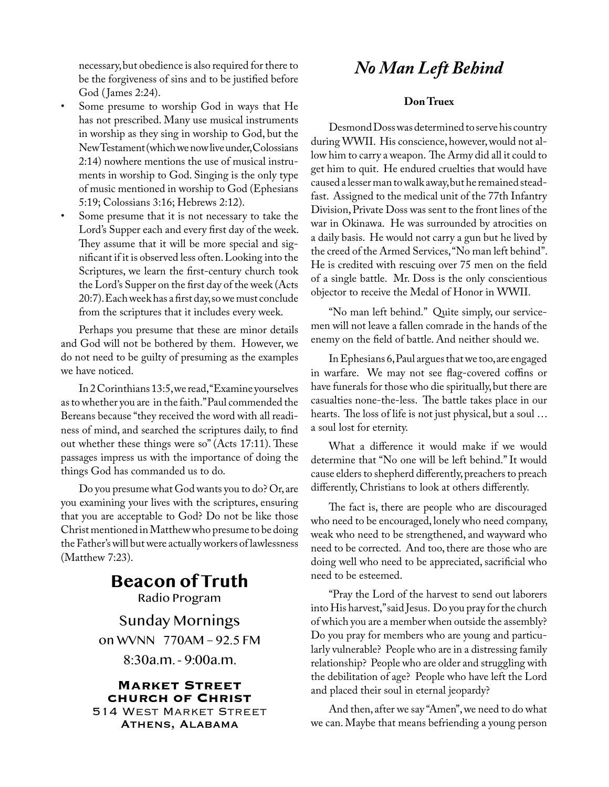necessary, but obedience is also required for there to **No Man Left Behind** be the forgiveness of sins and to be justified before God (James 2:24).

- Some presume to worship God in ways that He has not prescribed. Many use musical instruments in worship as they sing in worship to God, but the New Testament (which we now live under, Colossians 2:14) nowhere mentions the use of musical instruments in worship to God. Singing is the only type of music mentioned in worship to God (Ephesians 5:19; Colossians 3:16; Hebrews 2:12).
- Some presume that it is not necessary to take the Lord's Supper each and every first day of the week. They assume that it will be more special and significant if it is observed less often. Looking into the Scriptures, we learn the first-century church took the Lord's Supper on the first day of the week (Acts 20:7). Each week has a first day, so we must conclude from the scriptures that it includes every week.

Perhaps you presume that these are minor details and God will not be bothered by them. However, we do not need to be guilty of presuming as the examples we have noticed.

In 2 Corinthians 13:5, we read, "Examine yourselves as to whether you are in the faith." Paul commended the Bereans because "they received the word with all readiness of mind, and searched the scriptures daily, to find out whether these things were so" (Acts 17:11). These passages impress us with the importance of doing the things God has commanded us to do.

Do you presume what God wants you to do? Or, are you examining your lives with the scriptures, ensuring that you are acceptable to God? Do not be like those Christ mentioned in Matthew who presume to be doing the Father's will but were actually workers of lawlessness (Matthew 7:23).

# **Beacon of Truth** Radio Program

Sunday Mornings on WVNN 770AM – 92.5 FM 8:30a.m. - 9:00a.m.

**Market Street church of Christ** 514 West Market Street Athens, Alabama

# **Don Truex**

Desmond Doss was determined to serve his country during WWII. His conscience, however, would not allow him to carry a weapon. The Army did all it could to get him to quit. He endured cruelties that would have caused a lesser man to walk away, but he remained steadfast. Assigned to the medical unit of the 77th Infantry Division, Private Doss was sent to the front lines of the war in Okinawa. He was surrounded by atrocities on a daily basis. He would not carry a gun but he lived by the creed of the Armed Services, "No man left behind". He is credited with rescuing over 75 men on the field of a single battle. Mr. Doss is the only conscientious objector to receive the Medal of Honor in WWII.

"No man left behind." Quite simply, our servicemen will not leave a fallen comrade in the hands of the enemy on the field of battle. And neither should we.

In Ephesians 6, Paul argues that we too, are engaged in warfare. We may not see flag-covered coffins or have funerals for those who die spiritually, but there are casualties none-the-less. The battle takes place in our hearts. The loss of life is not just physical, but a soul … a soul lost for eternity.

What a difference it would make if we would determine that "No one will be left behind." It would cause elders to shepherd differently, preachers to preach differently, Christians to look at others differently.

The fact is, there are people who are discouraged who need to be encouraged, lonely who need company, weak who need to be strengthened, and wayward who need to be corrected. And too, there are those who are doing well who need to be appreciated, sacrificial who need to be esteemed.

"Pray the Lord of the harvest to send out laborers into His harvest," said Jesus. Do you pray for the church of which you are a member when outside the assembly? Do you pray for members who are young and particularly vulnerable? People who are in a distressing family relationship? People who are older and struggling with the debilitation of age? People who have left the Lord and placed their soul in eternal jeopardy?

And then, after we say "Amen", we need to do what we can. Maybe that means befriending a young person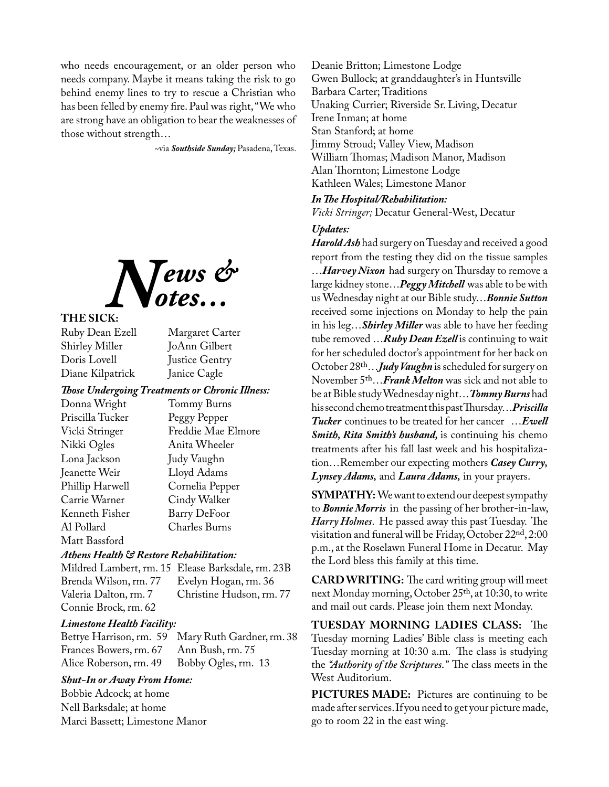who needs encouragement, or an older person who needs company. Maybe it means taking the risk to go behind enemy lines to try to rescue a Christian who has been felled by enemy fire. Paul was right, "We who are strong have an obligation to bear the weaknesses of those without strength…

~via *Southside Sunday;* Pasadena, Texas.



# **THE SICK:**

Ruby Dean Ezell Margaret Carter Shirley Miller JoAnn Gilbert<br>Doris Lovell Justice Gentry Diane Kilpatrick Janice Cagle

Justice Gentry

#### *Those Undergoing Treatments or Chronic Illness:*

| Donna Wright     | Tommy Burns         |
|------------------|---------------------|
| Priscilla Tucker | Peggy Pepper        |
| Vicki Stringer   | Freddie Mae Elmore  |
| Nikki Ogles      | Anita Wheeler       |
| Lona Jackson     | Judy Vaughn         |
| Jeanette Weir    | Lloyd Adams         |
| Phillip Harwell  | Cornelia Pepper     |
| Carrie Warner    | Cindy Walker        |
| Kenneth Fisher   | <b>Barry DeFoor</b> |
| Al Pollard       | Charles Burns       |
| Matt Bassford    |                     |

### *Athens Health & Restore Rehabilitation:*

Mildred Lambert, rm. 15 Elease Barksdale, rm. 23B Brenda Wilson, rm. 77 Evelyn Hogan, rm. 36 Christine Hudson, rm. 77 Connie Brock, rm. 62

#### *Limestone Health Facility:*

Bettye Harrison, rm. 59 Mary Ruth Gardner, rm. 38 Frances Bowers, rm. 67 Alice Roberson, rm. 49 Bobby Ogles, rm. 13

### *Shut-In or Away From Home:*

Bobbie Adcock; at home Nell Barksdale; at home Marci Bassett; Limestone Manor Deanie Britton; Limestone Lodge Gwen Bullock; at granddaughter's in Huntsville Barbara Carter; Traditions Unaking Currier; Riverside Sr. Living, Decatur Irene Inman; at home Stan Stanford; at home Jimmy Stroud; Valley View, Madison William Thomas; Madison Manor, Madison Alan Thornton; Limestone Lodge Kathleen Wales; Limestone Manor

#### *In The Hospital/Rehabilitation:*

*Vicki Stringer;* Decatur General-West, Decatur

### *Updates:*

*Harold Ash* had surgery on Tuesday and received a good report from the testing they did on the tissue samples …*Harvey Nixon* had surgery on Thursday to remove a large kidney stone…*Peggy Mitchell* was able to be with us Wednesday night at our Bible study…*Bonnie Sutton*  received some injections on Monday to help the pain in his leg…*Shirley Miller* was able to have her feeding tube removed …*Ruby Dean Ezell* is continuing to wait for her scheduled doctor's appointment for her back on October 28th…*Judy Vaughn* is scheduled for surgery on November 5th…*Frank Melton* was sick and not able to be at Bible study Wednesday night…*Tommy Burns* had his second chemo treatment this past Thursday…*Priscilla Tucker* continues to be treated for her cancer …*Ewell Smith, Rita Smith's husband,* is continuing his chemo treatments after his fall last week and his hospitalization…Remember our expecting mothers *Casey Curry, Lynsey Adams,* and *Laura Adams,* in your prayers.

**SYMPATHY:** We want to extend our deepest sympathy to *Bonnie Morris* in the passing of her brother-in-law, *Harry Holmes*. He passed away this past Tuesday. The visitation and funeral will be Friday, October 22nd, 2:00 p.m., at the Roselawn Funeral Home in Decatur. May the Lord bless this family at this time.

**CARD WRITING:** The card writing group will meet next Monday morning, October 25th, at 10:30, to write and mail out cards. Please join them next Monday.

**TUESDAY MORNING LADIES CLASS:** The Tuesday morning Ladies' Bible class is meeting each Tuesday morning at 10:30 a.m. The class is studying the *"Authority of the Scriptures."* The class meets in the West Auditorium.

**PICTURES MADE:** Pictures are continuing to be made after services. If you need to get your picture made, go to room 22 in the east wing.